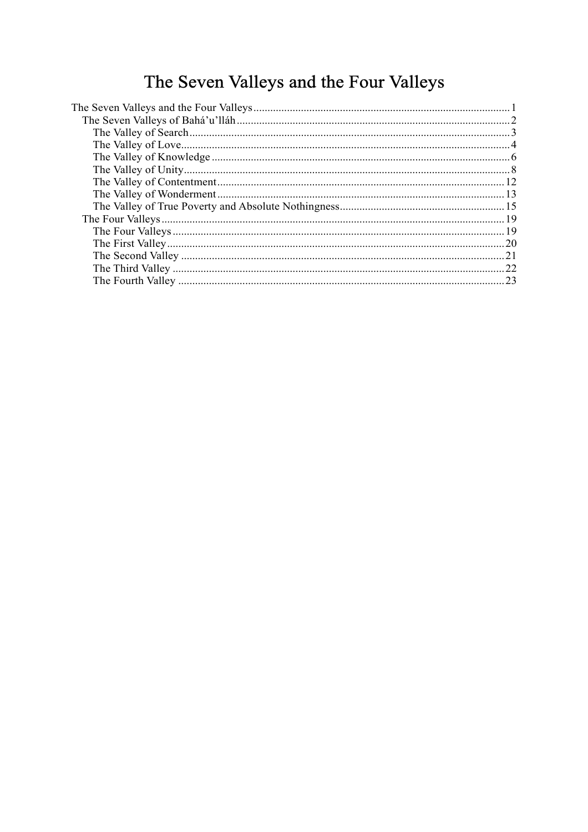# The Seven Valleys and the Four Valleys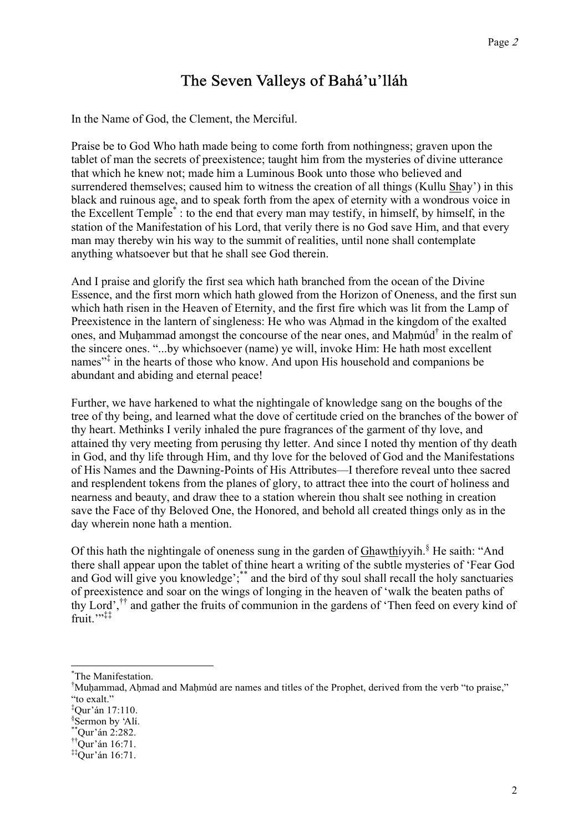# The Seven Valleys of Bahá'u'lláh

In the Name of God, the Clement, the Merciful.

Praise be to God Who hath made being to come forth from nothingness; graven upon the tablet of man the secrets of preexistence; taught him from the mysteries of divine utterance that which he knew not; made him a Luminous Book unto those who believed and surrendered themselves; caused him to witness the creation of all things (Kullu Shay') in this black and ruinous age, and to speak forth from the apex of eternity with a wondrous voice in the Excellent Temple\* : to the end that every man may testify, in himself, by himself, in the station of the Manifestation of his Lord, that verily there is no God save Him, and that every man may thereby win his way to the summit of realities, until none shall contemplate anything whatsoever but that he shall see God therein.

And I praise and glorify the first sea which hath branched from the ocean of the Divine Essence, and the first morn which hath glowed from the Horizon of Oneness, and the first sun which hath risen in the Heaven of Eternity, and the first fire which was lit from the Lamp of Preexistence in the lantern of singleness: He who was Ahmad in the kingdom of the exalted ones, and Muḥammad amongst the concourse of the near ones, and Maḥmúd† in the realm of the sincere ones. "...by whichsoever (name) ye will, invoke Him: He hath most excellent names"<sup>‡</sup> in the hearts of those who know. And upon His household and companions be abundant and abiding and eternal peace!

Further, we have harkened to what the nightingale of knowledge sang on the boughs of the tree of thy being, and learned what the dove of certitude cried on the branches of the bower of thy heart. Methinks I verily inhaled the pure fragrances of the garment of thy love, and attained thy very meeting from perusing thy letter. And since I noted thy mention of thy death in God, and thy life through Him, and thy love for the beloved of God and the Manifestations of His Names and the Dawning-Points of His Attributes—I therefore reveal unto thee sacred and resplendent tokens from the planes of glory, to attract thee into the court of holiness and nearness and beauty, and draw thee to a station wherein thou shalt see nothing in creation save the Face of thy Beloved One, the Honored, and behold all created things only as in the day wherein none hath a mention.

Of this hath the nightingale of oneness sung in the garden of  $G$ hawthíyyih.<sup>§</sup> He saith: "And there shall appear upon the tablet of thine heart a writing of the subtle mysteries of 'Fear God and God will give you knowledge';<sup>\*\*</sup> and the bird of thy soul shall recall the holy sanctuaries of preexistence and soar on the wings of longing in the heaven of 'walk the beaten paths of thy Lord',†† and gather the fruits of communion in the gardens of 'Then feed on every kind of fruit."<sup>\*\*\*</sup>

§ Sermon by 'Alí. \*\*Qur'án 2:282.

 <sup>\*</sup> The Manifestation.

<sup>†</sup> Muḥammad, Aḥmad and Maḥmúd are names and titles of the Prophet, derived from the verb "to praise," "to exalt."

<sup>‡</sup> Qur'án 17:110.

 $\overrightarrow{p}$ <sup>††</sup>Our'án 16:71.

<sup>‡‡</sup>Qur'án 16:71.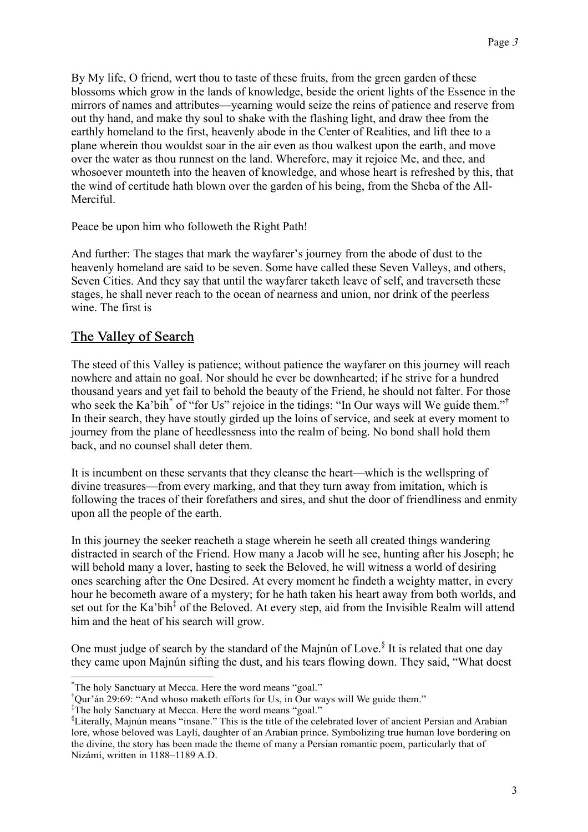By My life, O friend, wert thou to taste of these fruits, from the green garden of these blossoms which grow in the lands of knowledge, beside the orient lights of the Essence in the mirrors of names and attributes—yearning would seize the reins of patience and reserve from out thy hand, and make thy soul to shake with the flashing light, and draw thee from the earthly homeland to the first, heavenly abode in the Center of Realities, and lift thee to a plane wherein thou wouldst soar in the air even as thou walkest upon the earth, and move over the water as thou runnest on the land. Wherefore, may it rejoice Me, and thee, and whosoever mounteth into the heaven of knowledge, and whose heart is refreshed by this, that the wind of certitude hath blown over the garden of his being, from the Sheba of the All-Merciful.

Peace be upon him who followeth the Right Path!

And further: The stages that mark the wayfarer's journey from the abode of dust to the heavenly homeland are said to be seven. Some have called these Seven Valleys, and others, Seven Cities. And they say that until the wayfarer taketh leave of self, and traverseth these stages, he shall never reach to the ocean of nearness and union, nor drink of the peerless wine. The first is

#### The Valley of Search

The steed of this Valley is patience; without patience the wayfarer on this journey will reach nowhere and attain no goal. Nor should he ever be downhearted; if he strive for a hundred thousand years and yet fail to behold the beauty of the Friend, he should not falter. For those who seek the Ka'bih<sup>\*</sup> of "for Us" rejoice in the tidings: "In Our ways will We guide them."<sup>†</sup> In their search, they have stoutly girded up the loins of service, and seek at every moment to journey from the plane of heedlessness into the realm of being. No bond shall hold them back, and no counsel shall deter them.

It is incumbent on these servants that they cleanse the heart—which is the wellspring of divine treasures—from every marking, and that they turn away from imitation, which is following the traces of their forefathers and sires, and shut the door of friendliness and enmity upon all the people of the earth.

In this journey the seeker reacheth a stage wherein he seeth all created things wandering distracted in search of the Friend. How many a Jacob will he see, hunting after his Joseph; he will behold many a lover, hasting to seek the Beloved, he will witness a world of desiring ones searching after the One Desired. At every moment he findeth a weighty matter, in every hour he becometh aware of a mystery; for he hath taken his heart away from both worlds, and set out for the Ka'bih<sup>‡</sup> of the Beloved. At every step, aid from the Invisible Realm will attend him and the heat of his search will grow.

One must judge of search by the standard of the Majnún of Love.<sup>§</sup> It is related that one day they came upon Majnún sifting the dust, and his tears flowing down. They said, "What doest

 <sup>\*</sup> The holy Sanctuary at Mecca. Here the word means "goal."

<sup>†</sup> Qur'án 29:69: "And whoso maketh efforts for Us, in Our ways will We guide them."

<sup>‡</sup> The holy Sanctuary at Mecca. Here the word means "goal."

<sup>§</sup> Literally, Majnún means "insane." This is the title of the celebrated lover of ancient Persian and Arabian lore, whose beloved was Laylí, daughter of an Arabian prince. Symbolizing true human love bordering on the divine, the story has been made the theme of many a Persian romantic poem, particularly that of Nizámí, written in 1188–1189 A.D.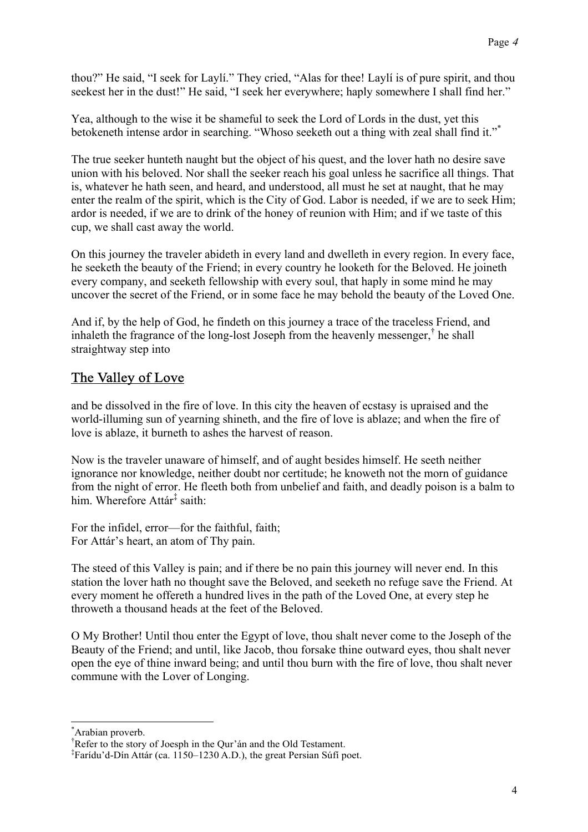thou?" He said, "I seek for Laylí." They cried, "Alas for thee! Laylí is of pure spirit, and thou seekest her in the dust!" He said, "I seek her everywhere; haply somewhere I shall find her."

Yea, although to the wise it be shameful to seek the Lord of Lords in the dust, yet this betokeneth intense ardor in searching. "Whoso seeketh out a thing with zeal shall find it."\*

The true seeker hunteth naught but the object of his quest, and the lover hath no desire save union with his beloved. Nor shall the seeker reach his goal unless he sacrifice all things. That is, whatever he hath seen, and heard, and understood, all must he set at naught, that he may enter the realm of the spirit, which is the City of God. Labor is needed, if we are to seek Him; ardor is needed, if we are to drink of the honey of reunion with Him; and if we taste of this cup, we shall cast away the world.

On this journey the traveler abideth in every land and dwelleth in every region. In every face, he seeketh the beauty of the Friend; in every country he looketh for the Beloved. He joineth every company, and seeketh fellowship with every soul, that haply in some mind he may uncover the secret of the Friend, or in some face he may behold the beauty of the Loved One.

And if, by the help of God, he findeth on this journey a trace of the traceless Friend, and inhaleth the fragrance of the long-lost Joseph from the heavenly messenger,<sup>†</sup> he shall straightway step into

# The Valley of Love

and be dissolved in the fire of love. In this city the heaven of ecstasy is upraised and the world-illuming sun of yearning shineth, and the fire of love is ablaze; and when the fire of love is ablaze, it burneth to ashes the harvest of reason.

Now is the traveler unaware of himself, and of aught besides himself. He seeth neither ignorance nor knowledge, neither doubt nor certitude; he knoweth not the morn of guidance from the night of error. He fleeth both from unbelief and faith, and deadly poison is a balm to him. Wherefore Attár<sup>‡</sup> saith:

For the infidel, error—for the faithful, faith; For Attár's heart, an atom of Thy pain.

The steed of this Valley is pain; and if there be no pain this journey will never end. In this station the lover hath no thought save the Beloved, and seeketh no refuge save the Friend. At every moment he offereth a hundred lives in the path of the Loved One, at every step he throweth a thousand heads at the feet of the Beloved.

O My Brother! Until thou enter the Egypt of love, thou shalt never come to the Joseph of the Beauty of the Friend; and until, like Jacob, thou forsake thine outward eyes, thou shalt never open the eye of thine inward being; and until thou burn with the fire of love, thou shalt never commune with the Lover of Longing.

 <sup>\*</sup> Arabian proverb.

<sup>†</sup> Refer to the story of Joesph in the Qur'án and the Old Testament.

<sup>‡</sup> Farídu'd-Dín Attár (ca. 1150–1230 A.D.), the great Persian Súfí poet.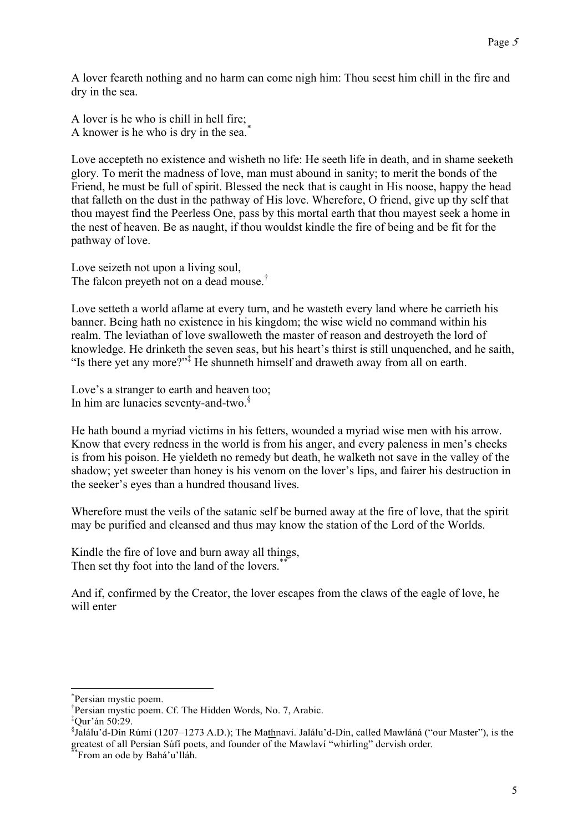A lover feareth nothing and no harm can come nigh him: Thou seest him chill in the fire and dry in the sea.

A lover is he who is chill in hell fire; A knower is he who is dry in the sea.<sup>\*</sup>

Love accepteth no existence and wisheth no life: He seeth life in death, and in shame seeketh glory. To merit the madness of love, man must abound in sanity; to merit the bonds of the Friend, he must be full of spirit. Blessed the neck that is caught in His noose, happy the head that falleth on the dust in the pathway of His love. Wherefore, O friend, give up thy self that thou mayest find the Peerless One, pass by this mortal earth that thou mayest seek a home in the nest of heaven. Be as naught, if thou wouldst kindle the fire of being and be fit for the pathway of love.

Love seizeth not upon a living soul, The falcon preyeth not on a dead mouse.<sup>†</sup>

Love setteth a world aflame at every turn, and he wasteth every land where he carrieth his banner. Being hath no existence in his kingdom; the wise wield no command within his realm. The leviathan of love swalloweth the master of reason and destroyeth the lord of knowledge. He drinketh the seven seas, but his heart's thirst is still unquenched, and he saith, "Is there yet any more?"‡ He shunneth himself and draweth away from all on earth.

Love's a stranger to earth and heaven too; In him are lunacies seventy-and-two.<sup>§</sup>

He hath bound a myriad victims in his fetters, wounded a myriad wise men with his arrow. Know that every redness in the world is from his anger, and every paleness in men's cheeks is from his poison. He yieldeth no remedy but death, he walketh not save in the valley of the shadow; yet sweeter than honey is his venom on the lover's lips, and fairer his destruction in the seeker's eyes than a hundred thousand lives.

Wherefore must the veils of the satanic self be burned away at the fire of love, that the spirit may be purified and cleansed and thus may know the station of the Lord of the Worlds.

Kindle the fire of love and burn away all things, Then set thy foot into the land of the lovers.<sup>\*\*</sup>

And if, confirmed by the Creator, the lover escapes from the claws of the eagle of love, he will enter

 <sup>\*</sup> Persian mystic poem.

<sup>†</sup> Persian mystic poem. Cf. The Hidden Words, No. 7, Arabic.

<sup>‡</sup> Qur'án 50:29.

<sup>§</sup> Jalálu'd-Dín Rúmí (1207–1273 A.D.); The Mathnaví. Jalálu'd-Dín, called Mawláná ("our Master"), is the greatest of all Persian Súfí poets, and founder of the Mawlaví "whirling" dervish order.<br>\*\*From an ode by Bahá'u'lláh.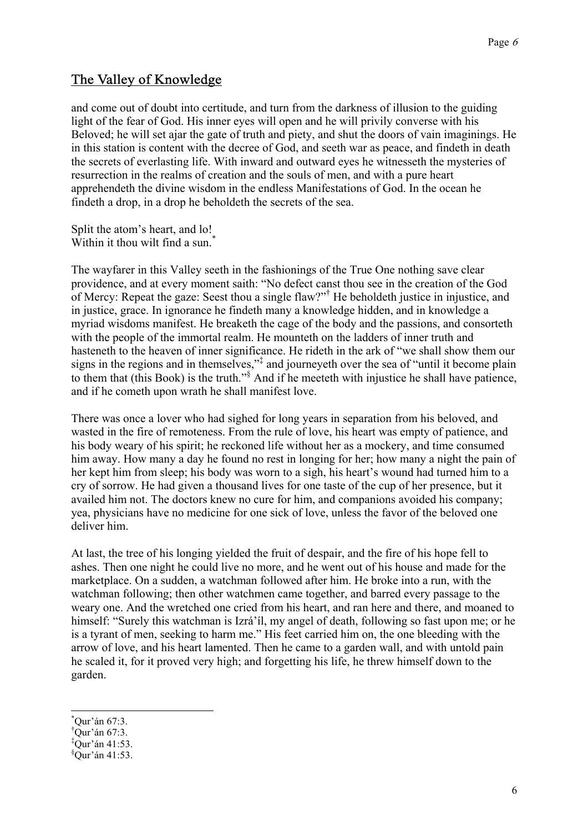## The Valley of Knowledge

and come out of doubt into certitude, and turn from the darkness of illusion to the guiding light of the fear of God. His inner eyes will open and he will privily converse with his Beloved; he will set ajar the gate of truth and piety, and shut the doors of vain imaginings. He in this station is content with the decree of God, and seeth war as peace, and findeth in death the secrets of everlasting life. With inward and outward eyes he witnesseth the mysteries of resurrection in the realms of creation and the souls of men, and with a pure heart apprehendeth the divine wisdom in the endless Manifestations of God. In the ocean he findeth a drop, in a drop he beholdeth the secrets of the sea.

Split the atom's heart, and lo! Within it thou wilt find a sun.<sup>\*</sup>

The wayfarer in this Valley seeth in the fashionings of the True One nothing save clear providence, and at every moment saith: "No defect canst thou see in the creation of the God of Mercy: Repeat the gaze: Seest thou a single flaw?"<sup>†</sup> He beholdeth justice in injustice, and in justice, grace. In ignorance he findeth many a knowledge hidden, and in knowledge a myriad wisdoms manifest. He breaketh the cage of the body and the passions, and consorteth with the people of the immortal realm. He mounteth on the ladders of inner truth and hasteneth to the heaven of inner significance. He rideth in the ark of "we shall show them our signs in the regions and in themselves,"<sup>‡</sup> and journeyeth over the sea of "until it become plain to them that (this Book) is the truth."<sup>§</sup> And if he meeteth with injustice he shall have patience, and if he cometh upon wrath he shall manifest love.

There was once a lover who had sighed for long years in separation from his beloved, and wasted in the fire of remoteness. From the rule of love, his heart was empty of patience, and his body weary of his spirit; he reckoned life without her as a mockery, and time consumed him away. How many a day he found no rest in longing for her; how many a night the pain of her kept him from sleep; his body was worn to a sigh, his heart's wound had turned him to a cry of sorrow. He had given a thousand lives for one taste of the cup of her presence, but it availed him not. The doctors knew no cure for him, and companions avoided his company; yea, physicians have no medicine for one sick of love, unless the favor of the beloved one deliver him.

At last, the tree of his longing yielded the fruit of despair, and the fire of his hope fell to ashes. Then one night he could live no more, and he went out of his house and made for the marketplace. On a sudden, a watchman followed after him. He broke into a run, with the watchman following; then other watchmen came together, and barred every passage to the weary one. And the wretched one cried from his heart, and ran here and there, and moaned to himself: "Surely this watchman is Izrá'íl, my angel of death, following so fast upon me; or he is a tyrant of men, seeking to harm me." His feet carried him on, the one bleeding with the arrow of love, and his heart lamented. Then he came to a garden wall, and with untold pain he scaled it, for it proved very high; and forgetting his life, he threw himself down to the garden.

 <sup>\*</sup>  $"Our'an 67:3.$ 

<sup>†</sup> Qur'án 67:3.

<sup>‡</sup> Qur'án 41:53.

 $\overline{Q}$ ur'án 41:53.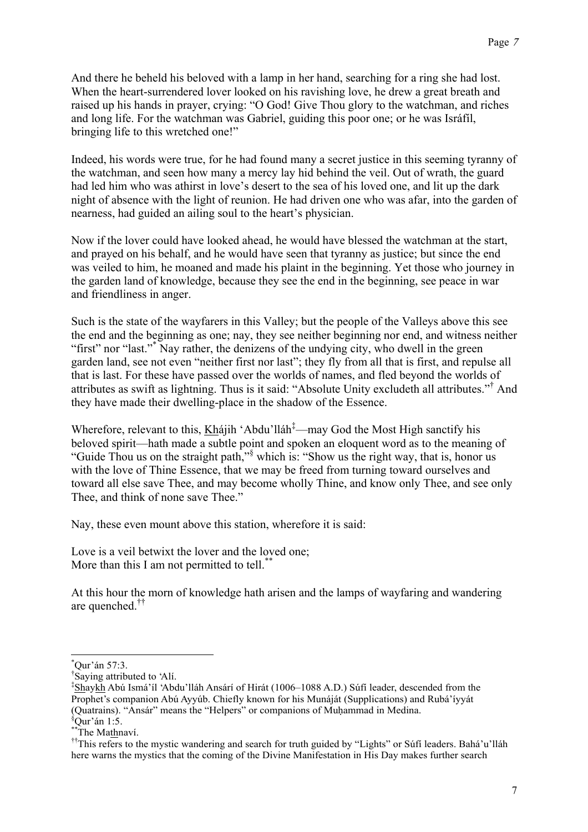And there he beheld his beloved with a lamp in her hand, searching for a ring she had lost. When the heart-surrendered lover looked on his ravishing love, he drew a great breath and raised up his hands in prayer, crying: "O God! Give Thou glory to the watchman, and riches and long life. For the watchman was Gabriel, guiding this poor one; or he was Isráfíl, bringing life to this wretched one!"

Indeed, his words were true, for he had found many a secret justice in this seeming tyranny of the watchman, and seen how many a mercy lay hid behind the veil. Out of wrath, the guard had led him who was athirst in love's desert to the sea of his loved one, and lit up the dark night of absence with the light of reunion. He had driven one who was afar, into the garden of nearness, had guided an ailing soul to the heart's physician.

Now if the lover could have looked ahead, he would have blessed the watchman at the start, and prayed on his behalf, and he would have seen that tyranny as justice; but since the end was veiled to him, he moaned and made his plaint in the beginning. Yet those who journey in the garden land of knowledge, because they see the end in the beginning, see peace in war and friendliness in anger.

Such is the state of the wayfarers in this Valley; but the people of the Valleys above this see the end and the beginning as one; nay, they see neither beginning nor end, and witness neither "first" nor "last."<sup>\*</sup> Nay rather, the denizens of the undying city, who dwell in the green garden land, see not even "neither first nor last"; they fly from all that is first, and repulse all that is last. For these have passed over the worlds of names, and fled beyond the worlds of attributes as swift as lightning. Thus is it said: "Absolute Unity excludeth all attributes."† And they have made their dwelling-place in the shadow of the Essence.

Wherefore, relevant to this, Khájih 'Abdu'lláh<sup>‡</sup>—may God the Most High sanctify his beloved spirit—hath made a subtle point and spoken an eloquent word as to the meaning of "Guide Thou us on the straight path,"§ which is: "Show us the right way, that is, honor us with the love of Thine Essence, that we may be freed from turning toward ourselves and toward all else save Thee, and may become wholly Thine, and know only Thee, and see only Thee, and think of none save Thee."

Nay, these even mount above this station, wherefore it is said:

Love is a veil betwixt the lover and the loved one; More than this I am not permitted to tell. $*$ 

At this hour the morn of knowledge hath arisen and the lamps of wayfaring and wandering are quenched.††

 <sup>\*</sup>  $"Qur'$ án 57:3.

<sup>†</sup> Saying attributed to 'Alí.

<sup>‡</sup> Shaykh Abú Ismá'íl 'Abdu'lláh Ansárí of Hirát (1006–1088 A.D.) Súfí leader, descended from the Prophet's companion Abú Ayyúb. Chiefly known for his Munáját (Supplications) and Rubá'íyyát (Quatrains). "Ansár" means the "Helpers" or companions of Muḥammad in Medina.  $\delta$ Our'án 1:5.

 $*$ The Mathnaví.

<sup>&</sup>lt;sup>††</sup>This refers to the mystic wandering and search for truth guided by "Lights" or Súfí leaders. Bahá'u'lláh here warns the mystics that the coming of the Divine Manifestation in His Day makes further search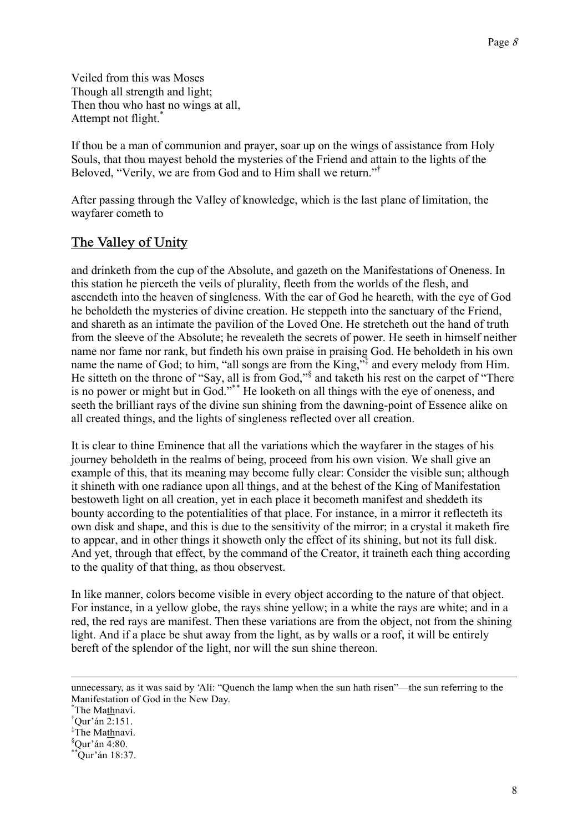Veiled from this was Moses Though all strength and light; Then thou who hast no wings at all, Attempt not flight.\*

If thou be a man of communion and prayer, soar up on the wings of assistance from Holy Souls, that thou mayest behold the mysteries of the Friend and attain to the lights of the Beloved, "Verily, we are from God and to Him shall we return."†

After passing through the Valley of knowledge, which is the last plane of limitation, the wayfarer cometh to

## The Valley of Unity

and drinketh from the cup of the Absolute, and gazeth on the Manifestations of Oneness. In this station he pierceth the veils of plurality, fleeth from the worlds of the flesh, and ascendeth into the heaven of singleness. With the ear of God he heareth, with the eye of God he beholdeth the mysteries of divine creation. He steppeth into the sanctuary of the Friend, and shareth as an intimate the pavilion of the Loved One. He stretcheth out the hand of truth from the sleeve of the Absolute; he revealeth the secrets of power. He seeth in himself neither name nor fame nor rank, but findeth his own praise in praising God. He beholdeth in his own name the name of God; to him, "all songs are from the King,"‡ and every melody from Him. He sitteth on the throne of "Say, all is from God,"<sup>§</sup> and taketh his rest on the carpet of "There is no power or might but in God."\*\* He looketh on all things with the eye of oneness, and seeth the brilliant rays of the divine sun shining from the dawning-point of Essence alike on all created things, and the lights of singleness reflected over all creation.

It is clear to thine Eminence that all the variations which the wayfarer in the stages of his journey beholdeth in the realms of being, proceed from his own vision. We shall give an example of this, that its meaning may become fully clear: Consider the visible sun; although it shineth with one radiance upon all things, and at the behest of the King of Manifestation bestoweth light on all creation, yet in each place it becometh manifest and sheddeth its bounty according to the potentialities of that place. For instance, in a mirror it reflecteth its own disk and shape, and this is due to the sensitivity of the mirror; in a crystal it maketh fire to appear, and in other things it showeth only the effect of its shining, but not its full disk. And yet, through that effect, by the command of the Creator, it traineth each thing according to the quality of that thing, as thou observest.

In like manner, colors become visible in every object according to the nature of that object. For instance, in a yellow globe, the rays shine yellow; in a white the rays are white; and in a red, the red rays are manifest. Then these variations are from the object, not from the shining light. And if a place be shut away from the light, as by walls or a roof, it will be entirely bereft of the splendor of the light, nor will the sun shine thereon.

 $\overline{\phantom{a}}$ 

unnecessary, as it was said by 'Alí: "Quench the lamp when the sun hath risen"—the sun referring to the Manifestation of God in the New Day. \*

The Mathnaví. † Qur'án 2:151. ‡ The Mathnaví.

<sup>&</sup>lt;sup>§</sup>Our'án 4:80.

 $"$ Qur'án 18:37.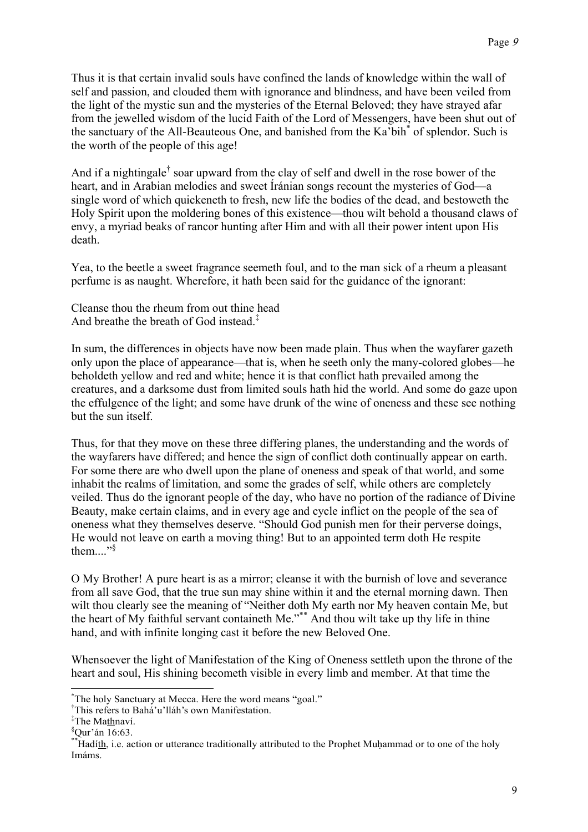Thus it is that certain invalid souls have confined the lands of knowledge within the wall of self and passion, and clouded them with ignorance and blindness, and have been veiled from the light of the mystic sun and the mysteries of the Eternal Beloved; they have strayed afar from the jewelled wisdom of the lucid Faith of the Lord of Messengers, have been shut out of the sanctuary of the All-Beauteous One, and banished from the Ka'bih<sup>\*</sup> of splendor. Such is the worth of the people of this age!

And if a nightingale<sup>†</sup> soar upward from the clay of self and dwell in the rose bower of the heart, and in Arabian melodies and sweet Íránian songs recount the mysteries of God—a single word of which quickeneth to fresh, new life the bodies of the dead, and bestoweth the Holy Spirit upon the moldering bones of this existence—thou wilt behold a thousand claws of envy, a myriad beaks of rancor hunting after Him and with all their power intent upon His death.

Yea, to the beetle a sweet fragrance seemeth foul, and to the man sick of a rheum a pleasant perfume is as naught. Wherefore, it hath been said for the guidance of the ignorant:

Cleanse thou the rheum from out thine head And breathe the breath of God instead.<sup>‡</sup>

In sum, the differences in objects have now been made plain. Thus when the wayfarer gazeth only upon the place of appearance—that is, when he seeth only the many-colored globes—he beholdeth yellow and red and white; hence it is that conflict hath prevailed among the creatures, and a darksome dust from limited souls hath hid the world. And some do gaze upon the effulgence of the light; and some have drunk of the wine of oneness and these see nothing but the sun itself.

Thus, for that they move on these three differing planes, the understanding and the words of the wayfarers have differed; and hence the sign of conflict doth continually appear on earth. For some there are who dwell upon the plane of oneness and speak of that world, and some inhabit the realms of limitation, and some the grades of self, while others are completely veiled. Thus do the ignorant people of the day, who have no portion of the radiance of Divine Beauty, make certain claims, and in every age and cycle inflict on the people of the sea of oneness what they themselves deserve. "Should God punish men for their perverse doings, He would not leave on earth a moving thing! But to an appointed term doth He respite them...." $\frac{1}{2}$ 

O My Brother! A pure heart is as a mirror; cleanse it with the burnish of love and severance from all save God, that the true sun may shine within it and the eternal morning dawn. Then wilt thou clearly see the meaning of "Neither doth My earth nor My heaven contain Me, but the heart of My faithful servant containeth Me."\*\* And thou wilt take up thy life in thine hand, and with infinite longing cast it before the new Beloved One.

Whensoever the light of Manifestation of the King of Oneness settleth upon the throne of the heart and soul, His shining becometh visible in every limb and member. At that time the

 <sup>\*</sup> The holy Sanctuary at Mecca. Here the word means "goal."

<sup>†</sup> This refers to Bahá'u'lláh's own Manifestation.

<sup>‡</sup> The Mathnaví.

 $\Omega$ <sup>§</sup>Our'án 16:63

<sup>&</sup>lt;sup>\*\*</sup>Hadíth, i.e. action or utterance traditionally attributed to the Prophet Muḥammad or to one of the holy Imáms.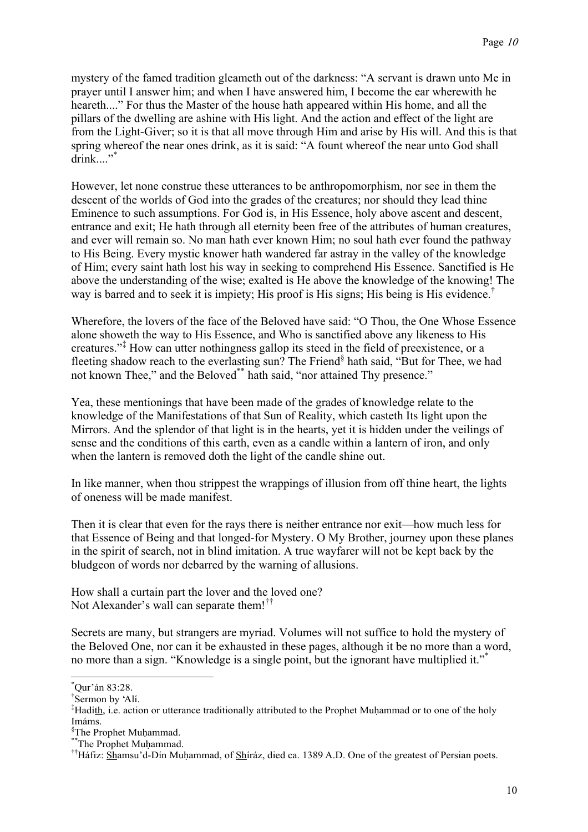mystery of the famed tradition gleameth out of the darkness: "A servant is drawn unto Me in prayer until I answer him; and when I have answered him, I become the ear wherewith he heareth...." For thus the Master of the house hath appeared within His home, and all the pillars of the dwelling are ashine with His light. And the action and effect of the light are from the Light-Giver; so it is that all move through Him and arise by His will. And this is that spring whereof the near ones drink, as it is said: "A fount whereof the near unto God shall  $drink...$ "\*

However, let none construe these utterances to be anthropomorphism, nor see in them the descent of the worlds of God into the grades of the creatures; nor should they lead thine Eminence to such assumptions. For God is, in His Essence, holy above ascent and descent, entrance and exit; He hath through all eternity been free of the attributes of human creatures, and ever will remain so. No man hath ever known Him; no soul hath ever found the pathway to His Being. Every mystic knower hath wandered far astray in the valley of the knowledge of Him; every saint hath lost his way in seeking to comprehend His Essence. Sanctified is He above the understanding of the wise; exalted is He above the knowledge of the knowing! The way is barred and to seek it is impiety; His proof is His signs; His being is His evidence.<sup>†</sup>

Wherefore, the lovers of the face of the Beloved have said: "O Thou, the One Whose Essence alone showeth the way to His Essence, and Who is sanctified above any likeness to His creatures."‡ How can utter nothingness gallop its steed in the field of preexistence, or a fleeting shadow reach to the everlasting sun? The Friend<sup>§</sup> hath said, "But for Thee, we had not known Thee," and the Beloved\*\* hath said, "nor attained Thy presence."

Yea, these mentionings that have been made of the grades of knowledge relate to the knowledge of the Manifestations of that Sun of Reality, which casteth Its light upon the Mirrors. And the splendor of that light is in the hearts, yet it is hidden under the veilings of sense and the conditions of this earth, even as a candle within a lantern of iron, and only when the lantern is removed doth the light of the candle shine out.

In like manner, when thou strippest the wrappings of illusion from off thine heart, the lights of oneness will be made manifest.

Then it is clear that even for the rays there is neither entrance nor exit—how much less for that Essence of Being and that longed-for Mystery. O My Brother, journey upon these planes in the spirit of search, not in blind imitation. A true wayfarer will not be kept back by the bludgeon of words nor debarred by the warning of allusions.

How shall a curtain part the lover and the loved one? Not Alexander's wall can separate them!<sup>††</sup>

Secrets are many, but strangers are myriad. Volumes will not suffice to hold the mystery of the Beloved One, nor can it be exhausted in these pages, although it be no more than a word, no more than a sign. "Knowledge is a single point, but the ignorant have multiplied it."

 <sup>\*</sup>  $"Our'an 83:28.$ 

<sup>†</sup> Sermon by 'Alí.

<sup>&</sup>lt;sup>‡</sup>Hadíth, i.e. action or utterance traditionally attributed to the Prophet Muḥammad or to one of the holy Imáms.

<sup>&</sup>lt;sup>§</sup>The Prophet Muhammad

<sup>\*\*</sup>The Prophet Muḥammad.

<sup>&</sup>lt;sup>††</sup>Háfiz: <u>Shamsu'd-Dín Muḥammad, of Shíráz</u>, died ca. 1389 A.D. One of the greatest of Persian poets.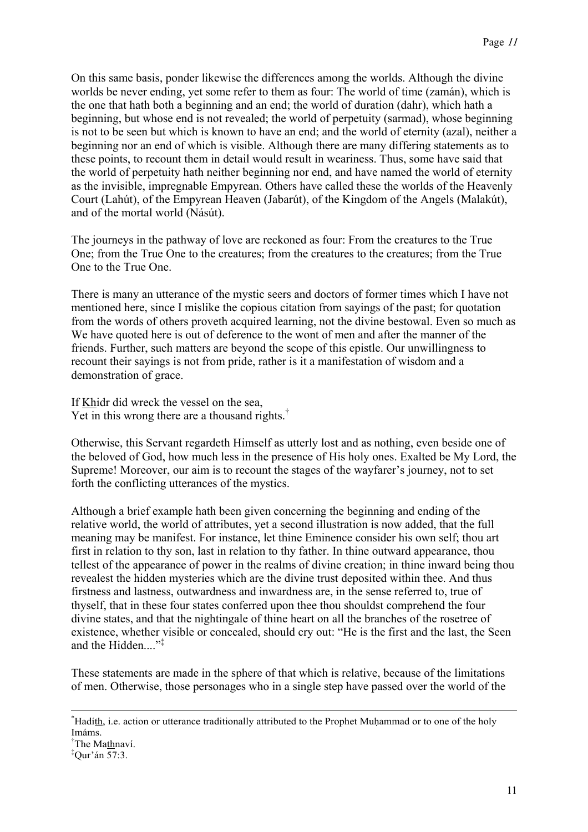On this same basis, ponder likewise the differences among the worlds. Although the divine worlds be never ending, yet some refer to them as four: The world of time (zamán), which is the one that hath both a beginning and an end; the world of duration (dahr), which hath a beginning, but whose end is not revealed; the world of perpetuity (sarmad), whose beginning is not to be seen but which is known to have an end; and the world of eternity (azal), neither a beginning nor an end of which is visible. Although there are many differing statements as to these points, to recount them in detail would result in weariness. Thus, some have said that the world of perpetuity hath neither beginning nor end, and have named the world of eternity as the invisible, impregnable Empyrean. Others have called these the worlds of the Heavenly Court (Lahút), of the Empyrean Heaven (Jabarút), of the Kingdom of the Angels (Malakút), and of the mortal world (Násút).

The journeys in the pathway of love are reckoned as four: From the creatures to the True One; from the True One to the creatures; from the creatures to the creatures; from the True One to the True One.

There is many an utterance of the mystic seers and doctors of former times which I have not mentioned here, since I mislike the copious citation from sayings of the past; for quotation from the words of others proveth acquired learning, not the divine bestowal. Even so much as We have quoted here is out of deference to the wont of men and after the manner of the friends. Further, such matters are beyond the scope of this epistle. Our unwillingness to recount their sayings is not from pride, rather is it a manifestation of wisdom and a demonstration of grace.

If Khidr did wreck the vessel on the sea, Yet in this wrong there are a thousand rights.<sup>†</sup>

Otherwise, this Servant regardeth Himself as utterly lost and as nothing, even beside one of the beloved of God, how much less in the presence of His holy ones. Exalted be My Lord, the Supreme! Moreover, our aim is to recount the stages of the wayfarer's journey, not to set forth the conflicting utterances of the mystics.

Although a brief example hath been given concerning the beginning and ending of the relative world, the world of attributes, yet a second illustration is now added, that the full meaning may be manifest. For instance, let thine Eminence consider his own self; thou art first in relation to thy son, last in relation to thy father. In thine outward appearance, thou tellest of the appearance of power in the realms of divine creation; in thine inward being thou revealest the hidden mysteries which are the divine trust deposited within thee. And thus firstness and lastness, outwardness and inwardness are, in the sense referred to, true of thyself, that in these four states conferred upon thee thou shouldst comprehend the four divine states, and that the nightingale of thine heart on all the branches of the rosetree of existence, whether visible or concealed, should cry out: "He is the first and the last, the Seen and the Hidden...."‡

These statements are made in the sphere of that which is relative, because of the limitations of men. Otherwise, those personages who in a single step have passed over the world of the

 <sup>\*</sup> <sup>\*</sup>Hadíth, i.e. action or utterance traditionally attributed to the Prophet Muhammad or to one of the holy Imáms.

<sup>&</sup>lt;sup>†</sup>The Mathnaví.

 $^{\ddagger}$ Qur'án 57:3.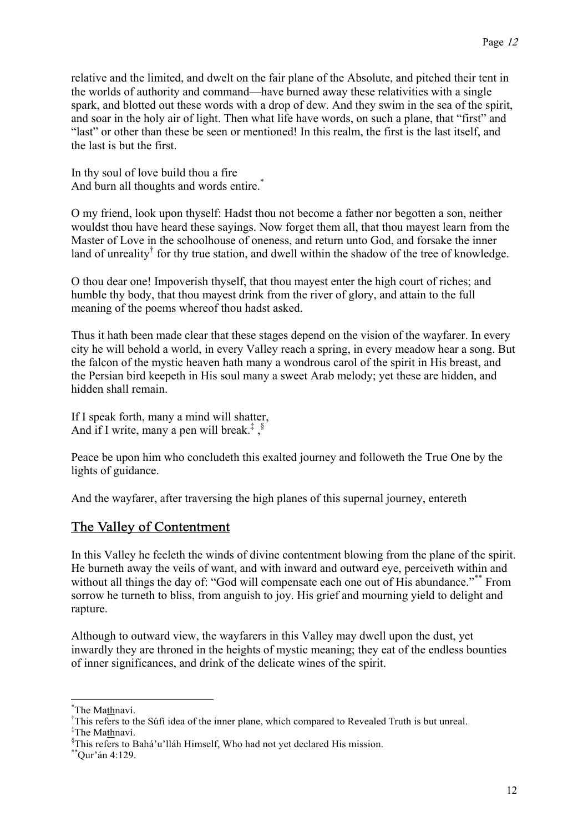relative and the limited, and dwelt on the fair plane of the Absolute, and pitched their tent in the worlds of authority and command—have burned away these relativities with a single spark, and blotted out these words with a drop of dew. And they swim in the sea of the spirit, and soar in the holy air of light. Then what life have words, on such a plane, that "first" and "last" or other than these be seen or mentioned! In this realm, the first is the last itself, and the last is but the first.

In thy soul of love build thou a fire And burn all thoughts and words entire.<sup>\*</sup>

O my friend, look upon thyself: Hadst thou not become a father nor begotten a son, neither wouldst thou have heard these sayings. Now forget them all, that thou mayest learn from the Master of Love in the schoolhouse of oneness, and return unto God, and forsake the inner land of unreality<sup>†</sup> for thy true station, and dwell within the shadow of the tree of knowledge.

O thou dear one! Impoverish thyself, that thou mayest enter the high court of riches; and humble thy body, that thou mayest drink from the river of glory, and attain to the full meaning of the poems whereof thou hadst asked.

Thus it hath been made clear that these stages depend on the vision of the wayfarer. In every city he will behold a world, in every Valley reach a spring, in every meadow hear a song. But the falcon of the mystic heaven hath many a wondrous carol of the spirit in His breast, and the Persian bird keepeth in His soul many a sweet Arab melody; yet these are hidden, and hidden shall remain.

If I speak forth, many a mind will shatter, And if I write, many a pen will break.<sup> $\ddagger$ </sup>, §

Peace be upon him who concludeth this exalted journey and followeth the True One by the lights of guidance.

And the wayfarer, after traversing the high planes of this supernal journey, entereth

#### The Valley of Contentment

In this Valley he feeleth the winds of divine contentment blowing from the plane of the spirit. He burneth away the veils of want, and with inward and outward eye, perceiveth within and without all things the day of: "God will compensate each one out of His abundance."<sup>\*\*</sup> From sorrow he turneth to bliss, from anguish to joy. His grief and mourning yield to delight and rapture.

Although to outward view, the wayfarers in this Valley may dwell upon the dust, yet inwardly they are throned in the heights of mystic meaning; they eat of the endless bounties of inner significances, and drink of the delicate wines of the spirit.

 <sup>\*</sup> The Mathnaví.

<sup>&</sup>lt;sup>†</sup>This refers to the Súfí idea of the inner plane, which compared to Revealed Truth is but unreal. ‡ The Mathnaví.

<sup>§</sup> This refers to Bahá'u'lláh Himself, Who had not yet declared His mission. \*\*Qur'án 4:129.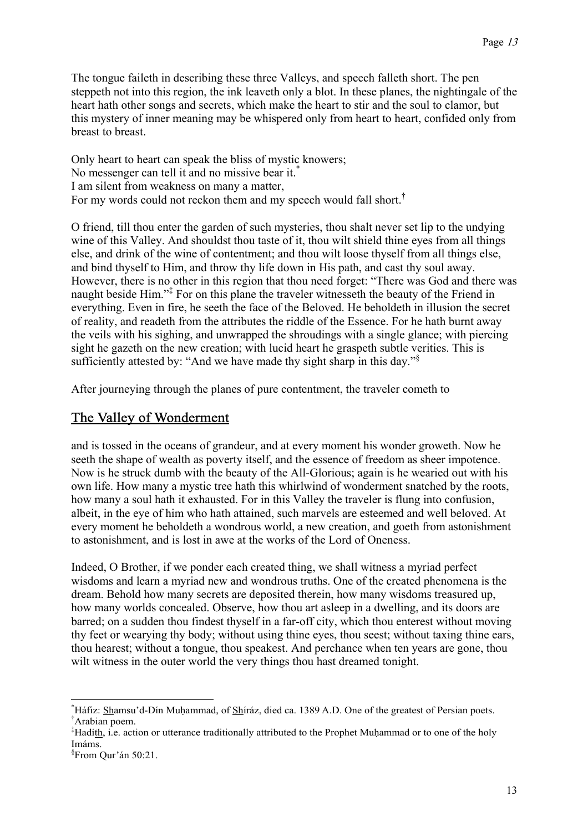The tongue faileth in describing these three Valleys, and speech falleth short. The pen steppeth not into this region, the ink leaveth only a blot. In these planes, the nightingale of the heart hath other songs and secrets, which make the heart to stir and the soul to clamor, but this mystery of inner meaning may be whispered only from heart to heart, confided only from breast to breast.

Only heart to heart can speak the bliss of mystic knowers; No messenger can tell it and no missive bear it.<sup>\*</sup> I am silent from weakness on many a matter, For my words could not reckon them and my speech would fall short.<sup>†</sup>

O friend, till thou enter the garden of such mysteries, thou shalt never set lip to the undying wine of this Valley. And shouldst thou taste of it, thou wilt shield thine eyes from all things else, and drink of the wine of contentment; and thou wilt loose thyself from all things else, and bind thyself to Him, and throw thy life down in His path, and cast thy soul away. However, there is no other in this region that thou need forget: "There was God and there was naught beside Him." ‡ For on this plane the traveler witnesseth the beauty of the Friend in everything. Even in fire, he seeth the face of the Beloved. He beholdeth in illusion the secret of reality, and readeth from the attributes the riddle of the Essence. For he hath burnt away the veils with his sighing, and unwrapped the shroudings with a single glance; with piercing sight he gazeth on the new creation; with lucid heart he graspeth subtle verities. This is sufficiently attested by: "And we have made thy sight sharp in this day."<sup>§</sup>

After journeying through the planes of pure contentment, the traveler cometh to

#### The Valley of Wonderment

and is tossed in the oceans of grandeur, and at every moment his wonder groweth. Now he seeth the shape of wealth as poverty itself, and the essence of freedom as sheer impotence. Now is he struck dumb with the beauty of the All-Glorious; again is he wearied out with his own life. How many a mystic tree hath this whirlwind of wonderment snatched by the roots, how many a soul hath it exhausted. For in this Valley the traveler is flung into confusion, albeit, in the eye of him who hath attained, such marvels are esteemed and well beloved. At every moment he beholdeth a wondrous world, a new creation, and goeth from astonishment to astonishment, and is lost in awe at the works of the Lord of Oneness.

Indeed, O Brother, if we ponder each created thing, we shall witness a myriad perfect wisdoms and learn a myriad new and wondrous truths. One of the created phenomena is the dream. Behold how many secrets are deposited therein, how many wisdoms treasured up, how many worlds concealed. Observe, how thou art asleep in a dwelling, and its doors are barred; on a sudden thou findest thyself in a far-off city, which thou enterest without moving thy feet or wearying thy body; without using thine eyes, thou seest; without taxing thine ears, thou hearest; without a tongue, thou speakest. And perchance when ten years are gone, thou wilt witness in the outer world the very things thou hast dreamed tonight.

 <sup>\*</sup> <sup>\*</sup>Háfiz: Shamsu'd-Dín Muhammad, of Shíráz, died ca. 1389 A.D. One of the greatest of Persian poets. † Arabian poem.

<sup>&</sup>lt;sup>‡</sup>Hadíth, i.e. action or utterance traditionally attributed to the Prophet Muḥammad or to one of the holy Imáms.

<sup>§</sup> From Qur'án 50:21.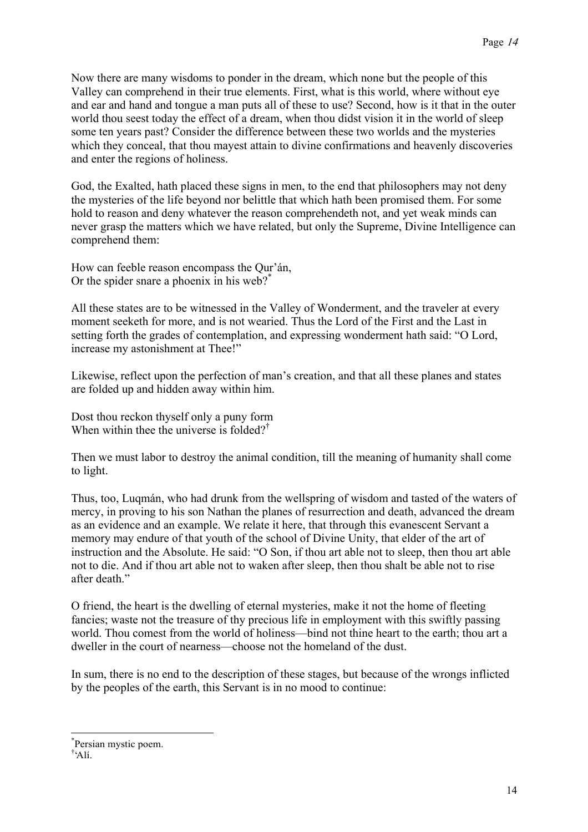Now there are many wisdoms to ponder in the dream, which none but the people of this Valley can comprehend in their true elements. First, what is this world, where without eye and ear and hand and tongue a man puts all of these to use? Second, how is it that in the outer world thou seest today the effect of a dream, when thou didst vision it in the world of sleep some ten years past? Consider the difference between these two worlds and the mysteries which they conceal, that thou mayest attain to divine confirmations and heavenly discoveries and enter the regions of holiness.

God, the Exalted, hath placed these signs in men, to the end that philosophers may not deny the mysteries of the life beyond nor belittle that which hath been promised them. For some hold to reason and deny whatever the reason comprehendeth not, and yet weak minds can never grasp the matters which we have related, but only the Supreme, Divine Intelligence can comprehend them:

How can feeble reason encompass the Qur'án, Or the spider snare a phoenix in his web?<sup>\*</sup>

All these states are to be witnessed in the Valley of Wonderment, and the traveler at every moment seeketh for more, and is not wearied. Thus the Lord of the First and the Last in setting forth the grades of contemplation, and expressing wonderment hath said: "O Lord, increase my astonishment at Thee!"

Likewise, reflect upon the perfection of man's creation, and that all these planes and states are folded up and hidden away within him.

Dost thou reckon thyself only a puny form When within thee the universe is folded?<sup>†</sup>

Then we must labor to destroy the animal condition, till the meaning of humanity shall come to light.

Thus, too, Luqmán, who had drunk from the wellspring of wisdom and tasted of the waters of mercy, in proving to his son Nathan the planes of resurrection and death, advanced the dream as an evidence and an example. We relate it here, that through this evanescent Servant a memory may endure of that youth of the school of Divine Unity, that elder of the art of instruction and the Absolute. He said: "O Son, if thou art able not to sleep, then thou art able not to die. And if thou art able not to waken after sleep, then thou shalt be able not to rise after death."

O friend, the heart is the dwelling of eternal mysteries, make it not the home of fleeting fancies; waste not the treasure of thy precious life in employment with this swiftly passing world. Thou comest from the world of holiness—bind not thine heart to the earth; thou art a dweller in the court of nearness—choose not the homeland of the dust.

In sum, there is no end to the description of these stages, but because of the wrongs inflicted by the peoples of the earth, this Servant is in no mood to continue:

 \* Persian mystic poem.

<sup>†</sup> 'Alí.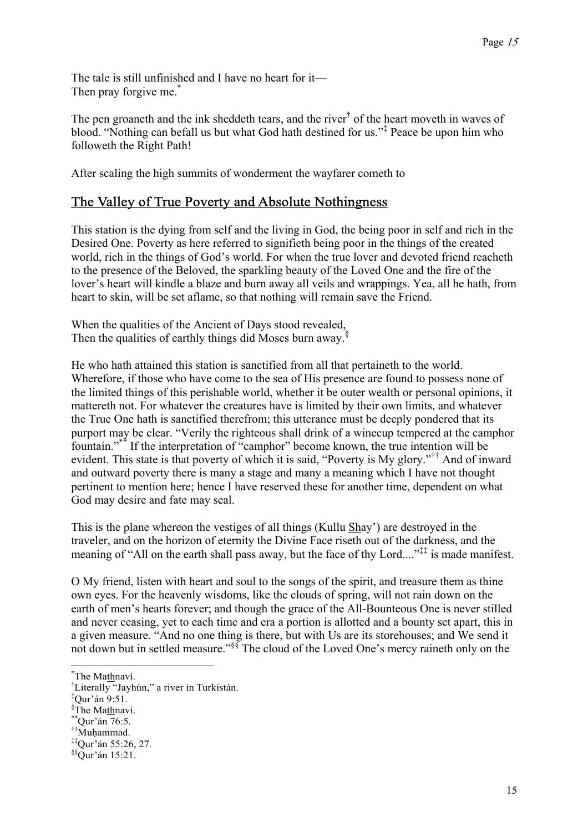The tale is still unfinished and I have no heart for it— Then pray forgive me.<sup>\*</sup>

The pen groaneth and the ink sheddeth tears, and the river<sup>†</sup> of the heart moveth in waves of blood. "Nothing can befall us but what God hath destined for us."‡ Peace be upon him who followeth the Right Path!

After scaling the high summits of wonderment the wayfarer cometh to

## The Valley of True Poverty and Absolute Nothingness

This station is the dying from self and the living in God, the being poor in self and rich in the Desired One. Poverty as here referred to signifieth being poor in the things of the created world, rich in the things of God's world. For when the true lover and devoted friend reacheth to the presence of the Beloved, the sparkling beauty of the Loved One and the fire of the lover's heart will kindle a blaze and burn away all veils and wrappings. Yea, all he hath, from heart to skin, will be set aflame, so that nothing will remain save the Friend.

When the qualities of the Ancient of Days stood revealed. Then the qualities of earthly things did Moses burn away. $§$ 

He who hath attained this station is sanctified from all that pertaineth to the world. Wherefore, if those who have come to the sea of His presence are found to possess none of the limited things of this perishable world, whether it be outer wealth or personal opinions, it mattereth not. For whatever the creatures have is limited by their own limits, and whatever the True One hath is sanctified therefrom; this utterance must be deeply pondered that its purport may be clear. "Verily the righteous shall drink of a winecup tempered at the camphor fountain."\*\* If the interpretation of "camphor" become known, the true intention will be evident. This state is that poverty of which it is said, "Poverty is My glory."†† And of inward and outward poverty there is many a stage and many a meaning which I have not thought pertinent to mention here; hence I have reserved these for another time, dependent on what God may desire and fate may seal.

This is the plane whereon the vestiges of all things (Kullu Shay') are destroyed in the traveler, and on the horizon of eternity the Divine Face riseth out of the darkness, and the meaning of "All on the earth shall pass away, but the face of thy Lord...."<sup>##</sup> is made manifest.

O My friend, listen with heart and soul to the songs of the spirit, and treasure them as thine own eyes. For the heavenly wisdoms, like the clouds of spring, will not rain down on the earth of men's hearts forever; and though the grace of the All-Bounteous One is never stilled and never ceasing, yet to each time and era a portion is allotted and a bounty set apart, this in a given measure. "And no one thing is there, but with Us are its storehouses; and We send it not down but in settled measure."<sup>§§</sup> The cloud of the Loved One's mercy raineth only on the

- ‡ Qur'án 9:51.
- <sup>§</sup>The Mathnaví.<br>\*\*Qur'án 76:5.
- 
- ††Muḥammad.

 <sup>\*</sup> The Mathnaví.

<sup>†</sup> Literally "Jayhún," a river in Turkistán.

<sup>‡‡</sup>Qur'án 55:26, 27.

 $§$ §Qur'án 15:21.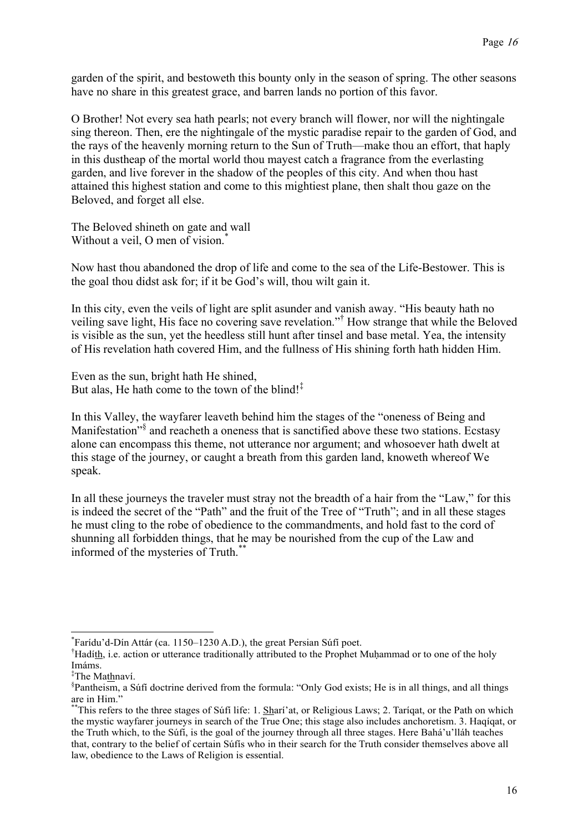garden of the spirit, and bestoweth this bounty only in the season of spring. The other seasons have no share in this greatest grace, and barren lands no portion of this favor.

O Brother! Not every sea hath pearls; not every branch will flower, nor will the nightingale sing thereon. Then, ere the nightingale of the mystic paradise repair to the garden of God, and the rays of the heavenly morning return to the Sun of Truth—make thou an effort, that haply in this dustheap of the mortal world thou mayest catch a fragrance from the everlasting garden, and live forever in the shadow of the peoples of this city. And when thou hast attained this highest station and come to this mightiest plane, then shalt thou gaze on the Beloved, and forget all else.

The Beloved shineth on gate and wall Without a veil, O men of vision.<sup>\*</sup>

Now hast thou abandoned the drop of life and come to the sea of the Life-Bestower. This is the goal thou didst ask for; if it be God's will, thou wilt gain it.

In this city, even the veils of light are split asunder and vanish away. "His beauty hath no veiling save light, His face no covering save revelation."† How strange that while the Beloved is visible as the sun, yet the heedless still hunt after tinsel and base metal. Yea, the intensity of His revelation hath covered Him, and the fullness of His shining forth hath hidden Him.

Even as the sun, bright hath He shined, But alas, He hath come to the town of the blind!<sup>‡</sup>

In this Valley, the wayfarer leaveth behind him the stages of the "oneness of Being and Manifestation<sup>"§</sup> and reacheth a oneness that is sanctified above these two stations. Ecstasy alone can encompass this theme, not utterance nor argument; and whosoever hath dwelt at this stage of the journey, or caught a breath from this garden land, knoweth whereof We speak.

In all these journeys the traveler must stray not the breadth of a hair from the "Law," for this is indeed the secret of the "Path" and the fruit of the Tree of "Truth"; and in all these stages he must cling to the robe of obedience to the commandments, and hold fast to the cord of shunning all forbidden things, that he may be nourished from the cup of the Law and informed of the mysteries of Truth.<sup>\*\*</sup>

 <sup>\*</sup> Farídu'd-Dín Attár (ca. 1150–1230 A.D.), the great Persian Súfí poet.

<sup>&</sup>lt;sup>†</sup>Hadíth, i.e. action or utterance traditionally attributed to the Prophet Muḥammad or to one of the holy Imáms.

<sup>‡</sup> The Mathnaví.

 $\gamma$ Pantheism, a Súfí doctrine derived from the formula: "Only God exists; He is in all things, and all things are in Him."

<sup>\*\*</sup>This refers to the three stages of Súfí life: 1. Sharí'at, or Religious Laws; 2. Taríqat, or the Path on which the mystic wayfarer journeys in search of the True One; this stage also includes anchoretism. 3. Haqíqat, or the Truth which, to the Súfí, is the goal of the journey through all three stages. Here Bahá'u'lláh teaches that, contrary to the belief of certain Súfís who in their search for the Truth consider themselves above all law, obedience to the Laws of Religion is essential.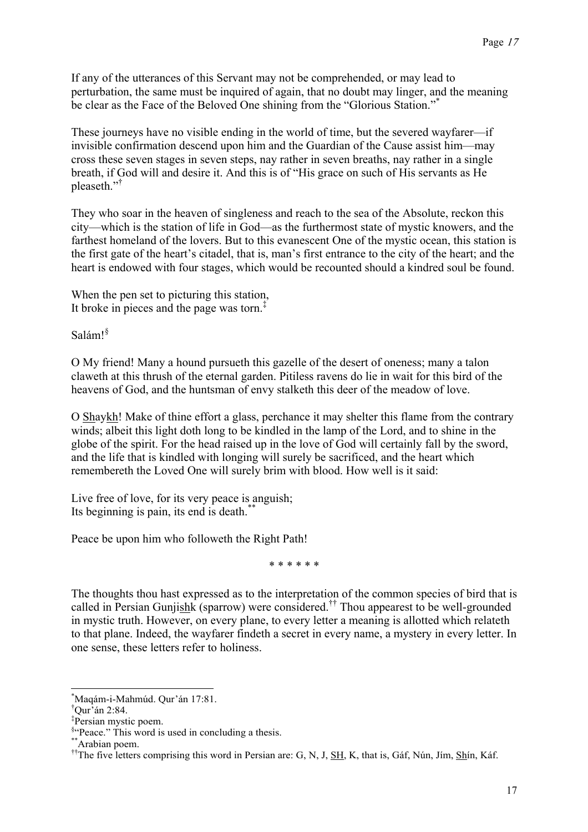If any of the utterances of this Servant may not be comprehended, or may lead to perturbation, the same must be inquired of again, that no doubt may linger, and the meaning be clear as the Face of the Beloved One shining from the "Glorious Station."\*

These journeys have no visible ending in the world of time, but the severed wayfarer—if invisible confirmation descend upon him and the Guardian of the Cause assist him—may cross these seven stages in seven steps, nay rather in seven breaths, nay rather in a single breath, if God will and desire it. And this is of "His grace on such of His servants as He pleaseth."†

They who soar in the heaven of singleness and reach to the sea of the Absolute, reckon this city—which is the station of life in God—as the furthermost state of mystic knowers, and the farthest homeland of the lovers. But to this evanescent One of the mystic ocean, this station is the first gate of the heart's citadel, that is, man's first entrance to the city of the heart; and the heart is endowed with four stages, which would be recounted should a kindred soul be found.

When the pen set to picturing this station, It broke in pieces and the page was torn.<sup> $#$ </sup>

Salám! §

O My friend! Many a hound pursueth this gazelle of the desert of oneness; many a talon claweth at this thrush of the eternal garden. Pitiless ravens do lie in wait for this bird of the heavens of God, and the huntsman of envy stalketh this deer of the meadow of love.

O Shaykh! Make of thine effort a glass, perchance it may shelter this flame from the contrary winds; albeit this light doth long to be kindled in the lamp of the Lord, and to shine in the globe of the spirit. For the head raised up in the love of God will certainly fall by the sword, and the life that is kindled with longing will surely be sacrificed, and the heart which remembereth the Loved One will surely brim with blood. How well is it said:

Live free of love, for its very peace is anguish; Its beginning is pain, its end is death. $*$ 

Peace be upon him who followeth the Right Path!

\* \* \* \* \* \*

The thoughts thou hast expressed as to the interpretation of the common species of bird that is called in Persian Gunjishk (sparrow) were considered.†† Thou appearest to be well-grounded in mystic truth. However, on every plane, to every letter a meaning is allotted which relateth to that plane. Indeed, the wayfarer findeth a secret in every name, a mystery in every letter. In one sense, these letters refer to holiness.

 <sup>\*</sup> Maqám-i-Mahmúd. Qur'án 17:81.

 $\dagger$ Qur $\cdot$ án 2:84.

<sup>‡</sup> Persian mystic poem.

<sup>&</sup>lt;sup>§«</sup>Peace." This word is used in concluding a thesis.<br>\*\*Arabian poem.

<sup>†\*</sup> Peace. This word is used in concruding a messe.<br>\*\*Arabian poem.<br>†\*The five letters comprising this word in Persian are: G, N, J, <u>SH</u>, K, that is, Gáf, Nún, Jím, <u>Sh</u>ín, Káf.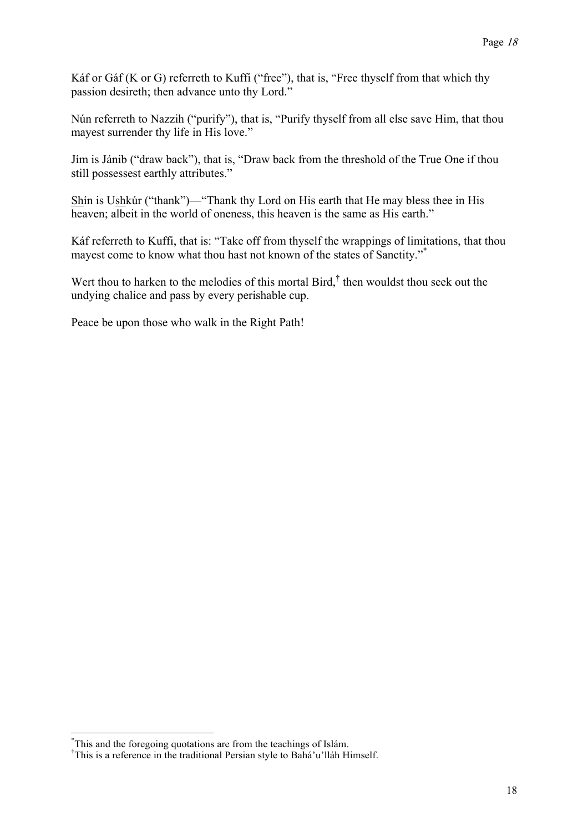Káf or Gáf (K or G) referreth to Kuffi ("free"), that is, "Free thyself from that which thy passion desireth; then advance unto thy Lord."

Nún referreth to Nazzih ("purify"), that is, "Purify thyself from all else save Him, that thou mayest surrender thy life in His love."

Jím is Jánib ("draw back"), that is, "Draw back from the threshold of the True One if thou still possessest earthly attributes."

Shín is Ushkúr ("thank")—"Thank thy Lord on His earth that He may bless thee in His heaven; albeit in the world of oneness, this heaven is the same as His earth."

Káf referreth to Kuffi, that is: "Take off from thyself the wrappings of limitations, that thou mayest come to know what thou hast not known of the states of Sanctity."<sup>\*</sup>

Wert thou to harken to the melodies of this mortal Bird,<sup>†</sup> then wouldst thou seek out the undying chalice and pass by every perishable cup.

Peace be upon those who walk in the Right Path!

 <sup>\*</sup> This and the foregoing quotations are from the teachings of Islám.

<sup>†</sup> This is a reference in the traditional Persian style to Bahá'u'lláh Himself.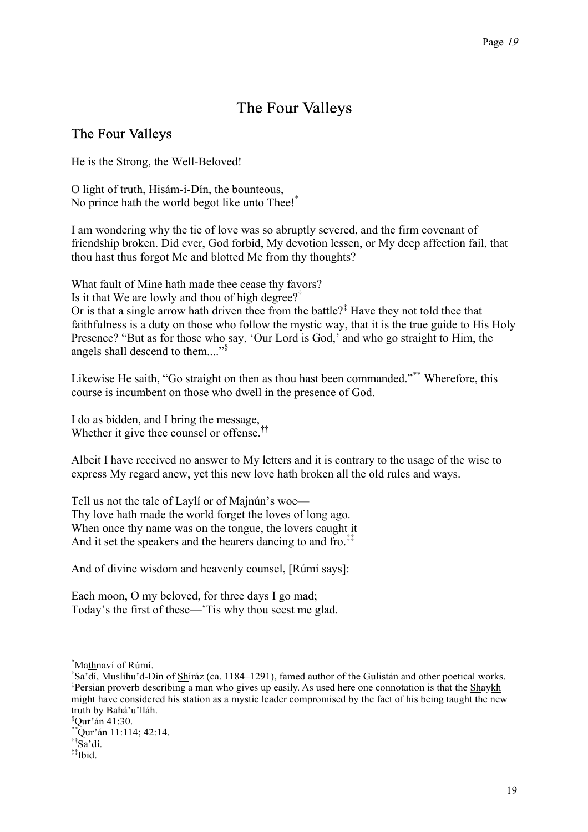# The Four Valleys

#### The Four Valleys

He is the Strong, the Well-Beloved!

O light of truth, Hisám-i-Dín, the bounteous, No prince hath the world begot like unto Thee!<sup>\*</sup>

I am wondering why the tie of love was so abruptly severed, and the firm covenant of friendship broken. Did ever, God forbid, My devotion lessen, or My deep affection fail, that thou hast thus forgot Me and blotted Me from thy thoughts?

What fault of Mine hath made thee cease thy favors?

Is it that We are lowly and thou of high degree?<sup>†</sup>

Or is that a single arrow hath driven thee from the battle?‡ Have they not told thee that faithfulness is a duty on those who follow the mystic way, that it is the true guide to His Holy Presence? "But as for those who say, 'Our Lord is God,' and who go straight to Him, the angels shall descend to them...."<sup>§</sup>

Likewise He saith, "Go straight on then as thou hast been commanded."\*\* Wherefore, this course is incumbent on those who dwell in the presence of God.

I do as bidden, and I bring the message, Whether it give thee counsel or offense.<sup>†</sup>

Albeit I have received no answer to My letters and it is contrary to the usage of the wise to express My regard anew, yet this new love hath broken all the old rules and ways.

Tell us not the tale of Laylí or of Majnún's woe— Thy love hath made the world forget the loves of long ago. When once thy name was on the tongue, the lovers caught it And it set the speakers and the hearers dancing to and fro.<sup>‡‡</sup>

And of divine wisdom and heavenly counsel, [Rúmí says]:

Each moon, O my beloved, for three days I go mad; Today's the first of these—'Tis why thou seest me glad.

 <sup>\*</sup> Mathnaví of Rúmí.

<sup>&</sup>lt;sup>†</sup>Sa'dí, Muslihu'd-Dín of Shíráz (ca. 1184–1291), famed author of the Gulistán and other poetical works. <sup>‡</sup>Persian proverb describing a man who gives up easily. As used here one connotation is that the **Shaykh** might have considered his station as a mystic leader compromised by the fact of his being taught the new truth by Bahá'u'lláh.

 $\text{\textdegree}$ Our'an 41:30.

 $\frac{Q}{2}$  and  $\frac{1}{2}$ .  $\frac{1}{2}$ .  $\frac{1}{4}$ .  $\frac{1}{2}$ 

 $\ddagger$ Thid.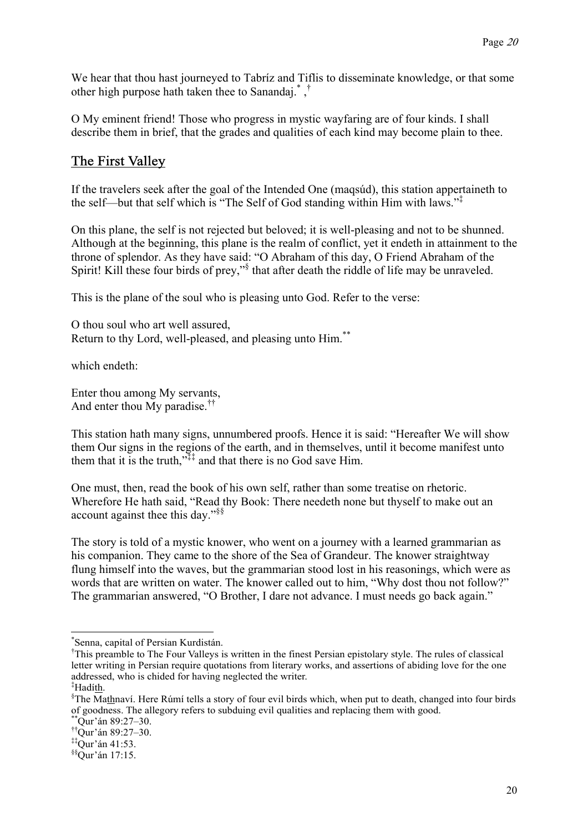We hear that thou hast journeyed to Tabríz and Tiflis to disseminate knowledge, or that some other high purpose hath taken thee to Sanandaj.<sup>\*</sup>,<sup>†</sup>

O My eminent friend! Those who progress in mystic wayfaring are of four kinds. I shall describe them in brief, that the grades and qualities of each kind may become plain to thee.

#### The First Valley

If the travelers seek after the goal of the Intended One (maqsúd), this station appertaineth to the self—but that self which is "The Self of God standing within Him with laws."‡

On this plane, the self is not rejected but beloved; it is well-pleasing and not to be shunned. Although at the beginning, this plane is the realm of conflict, yet it endeth in attainment to the throne of splendor. As they have said: "O Abraham of this day, O Friend Abraham of the Spirit! Kill these four birds of prey,"<sup>§</sup> that after death the riddle of life may be unraveled.

This is the plane of the soul who is pleasing unto God. Refer to the verse:

O thou soul who art well assured, Return to thy Lord, well-pleased, and pleasing unto Him.<sup>\*\*</sup>

which endeth:

Enter thou among My servants, And enter thou My paradise.††

This station hath many signs, unnumbered proofs. Hence it is said: "Hereafter We will show them Our signs in the regions of the earth, and in themselves, until it become manifest unto them that it is the truth, $\mathbb{R}^{1+}$  and that there is no God save Him.

One must, then, read the book of his own self, rather than some treatise on rhetoric. Wherefore He hath said, "Read thy Book: There needeth none but thyself to make out an account against thee this day."§§

The story is told of a mystic knower, who went on a journey with a learned grammarian as his companion. They came to the shore of the Sea of Grandeur. The knower straightway flung himself into the waves, but the grammarian stood lost in his reasonings, which were as words that are written on water. The knower called out to him, "Why dost thou not follow?" The grammarian answered, "O Brother, I dare not advance. I must needs go back again."

 <sup>\*</sup> Senna, capital of Persian Kurdistán.

<sup>&</sup>lt;sup>†</sup>This preamble to The Four Valleys is written in the finest Persian epistolary style. The rules of classical letter writing in Persian require quotations from literary works, and assertions of abiding love for the one addressed, who is chided for having neglected the writer.

Hadíth. §

The Mathnaví. Here Rúmí tells a story of four evil birds which, when put to death, changed into four birds of goodness. The allegory refers to subduing evil qualities and replacing them with good. \*\*Qur'án 89:27–30.

 $*$ <sup>††</sup>Our'án 89:27–30.

 $*^{11}$ Qur'án 41:53.

<sup>§§</sup>Qur'án 17:15.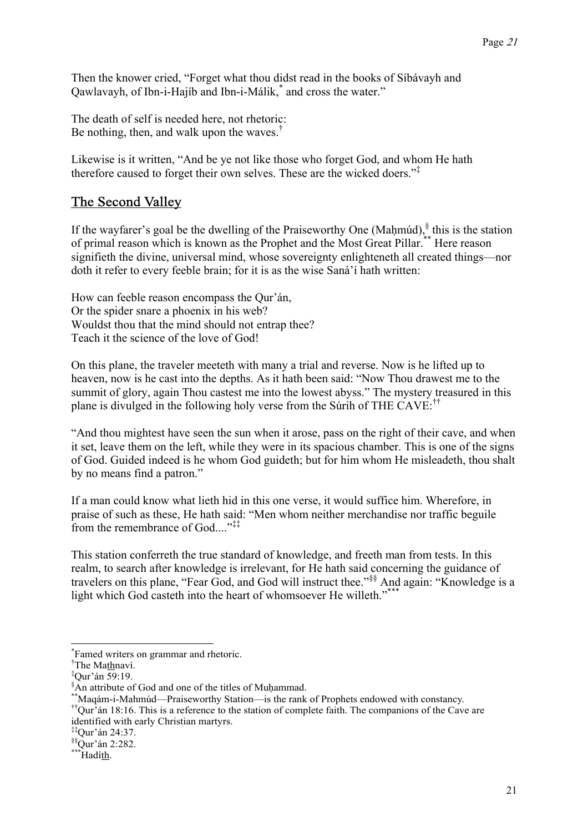Then the knower cried, "Forget what thou didst read in the books of Síbávayh and Qawlavayh, of Ibn-i-Hajíb and Ibn-i-Málik,<sup>\*</sup> and cross the water."

The death of self is needed here, not rhetoric: Be nothing, then, and walk upon the waves.<sup>†</sup>

Likewise is it written, "And be ye not like those who forget God, and whom He hath therefore caused to forget their own selves. These are the wicked doers."‡

## The Second Valley

If the wayfarer's goal be the dwelling of the Praiseworthy One (Maḥmúd), $\frac{8}{3}$  this is the station of primal reason which is known as the Prophet and the Most Great Pillar.\*\* Here reason signifieth the divine, universal mind, whose sovereignty enlighteneth all created things—nor doth it refer to every feeble brain; for it is as the wise Saná'í hath written:

How can feeble reason encompass the Qur'án, Or the spider snare a phoenix in his web? Wouldst thou that the mind should not entrap thee? Teach it the science of the love of God!

On this plane, the traveler meeteth with many a trial and reverse. Now is he lifted up to heaven, now is he cast into the depths. As it hath been said: "Now Thou drawest me to the summit of glory, again Thou castest me into the lowest abyss." The mystery treasured in this plane is divulged in the following holy verse from the Súrih of THE CAVE:<sup>††</sup>

"And thou mightest have seen the sun when it arose, pass on the right of their cave, and when it set, leave them on the left, while they were in its spacious chamber. This is one of the signs of God. Guided indeed is he whom God guideth; but for him whom He misleadeth, thou shalt by no means find a patron."

If a man could know what lieth hid in this one verse, it would suffice him. Wherefore, in praise of such as these, He hath said: "Men whom neither merchandise nor traffic beguile from the remembrance of God<sup>37‡‡</sup>

This station conferreth the true standard of knowledge, and freeth man from tests. In this realm, to search after knowledge is irrelevant, for He hath said concerning the guidance of travelers on this plane, "Fear God, and God will instruct thee."§§ And again: "Knowledge is a light which God casteth into the heart of whomsoever He willeth."<sup>\*</sup>

 <sup>\*</sup> Famed writers on grammar and rhetoric.

<sup>&</sup>lt;sup>†</sup>The Mathnaví.

 $^{\ddagger}$ Qur'án 59:19.

<sup>&</sup>lt;sup>§</sup>An attribute of God and one of the titles of Muhammad.<br>\*\*Maqám-i-Mahmúd—Praiseworthy Station—is the rank of Prophets endowed with constancy.<br><sup>††</sup>Qur'án 18:16. This is a reference to the station of complete faith. The co

 $\text{``Our'}\text{\'an}18:16$ . This is a reference to the station of complete faith. The companions of the Cave are identified with early Christian martyrs.

 $\stackrel{\text{\ddot{}}{\text{\ddot{}}}}{\text{Our'an 24}}$ :37.

 $\sum_{n=1}$ §§Qur'án 2:282.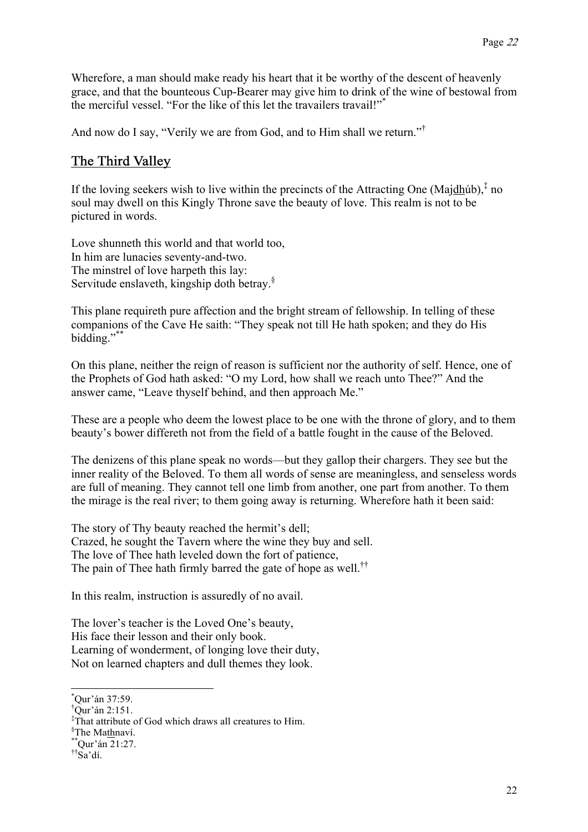Wherefore, a man should make ready his heart that it be worthy of the descent of heavenly grace, and that the bounteous Cup-Bearer may give him to drink of the wine of bestowal from the merciful vessel. "For the like of this let the travailers travail!"\*

And now do I say, "Verily we are from God, and to Him shall we return."<sup>†</sup>

## The Third Valley

If the loving seekers wish to live within the precincts of the Attracting One (Maj $\underline{d}\underline{h}$ úb),<sup>‡</sup> no soul may dwell on this Kingly Throne save the beauty of love. This realm is not to be pictured in words.

Love shunneth this world and that world too, In him are lunacies seventy-and-two. The minstrel of love harpeth this lay: Servitude enslaveth, kingship doth betray.<sup>§</sup>

This plane requireth pure affection and the bright stream of fellowship. In telling of these companions of the Cave He saith: "They speak not till He hath spoken; and they do His bidding."\*\*

On this plane, neither the reign of reason is sufficient nor the authority of self. Hence, one of the Prophets of God hath asked: "O my Lord, how shall we reach unto Thee?" And the answer came, "Leave thyself behind, and then approach Me."

These are a people who deem the lowest place to be one with the throne of glory, and to them beauty's bower differeth not from the field of a battle fought in the cause of the Beloved.

The denizens of this plane speak no words—but they gallop their chargers. They see but the inner reality of the Beloved. To them all words of sense are meaningless, and senseless words are full of meaning. They cannot tell one limb from another, one part from another. To them the mirage is the real river; to them going away is returning. Wherefore hath it been said:

The story of Thy beauty reached the hermit's dell; Crazed, he sought the Tavern where the wine they buy and sell. The love of Thee hath leveled down the fort of patience, The pain of Thee hath firmly barred the gate of hope as well.<sup>††</sup>

In this realm, instruction is assuredly of no avail.

The lover's teacher is the Loved One's beauty, His face their lesson and their only book. Learning of wonderment, of longing love their duty, Not on learned chapters and dull themes they look.

 <sup>\*</sup> Qur'án 37:59.

<sup>†</sup> Qur'án 2:151.

<sup>‡</sup> That attribute of God which draws all creatures to Him.

<sup>&</sup>lt;sup>§</sup>The Ma<u>th</u>naví.<br>\*\*Qur'án 21:27.

<sup>††</sup>Sa'dí.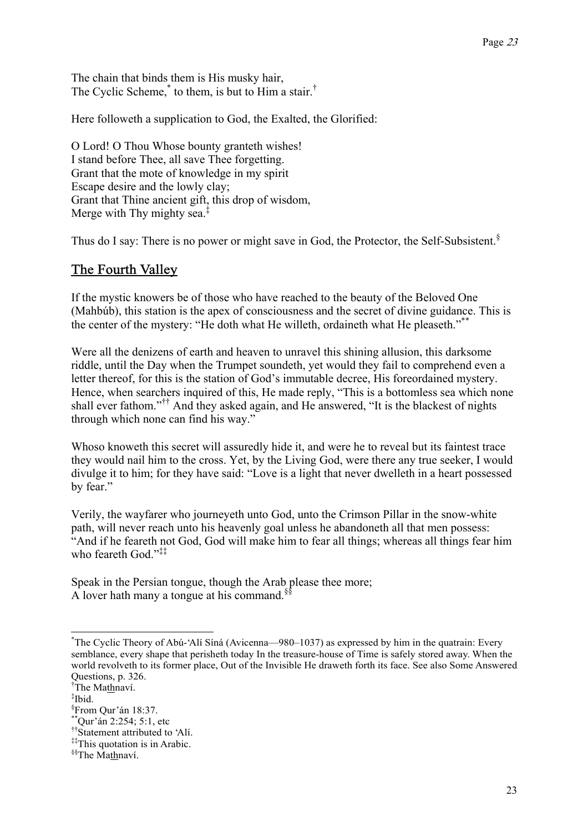The chain that binds them is His musky hair, The Cyclic Scheme, $*$  to them, is but to Him a stair.<sup>†</sup>

Here followeth a supplication to God, the Exalted, the Glorified:

O Lord! O Thou Whose bounty granteth wishes! I stand before Thee, all save Thee forgetting. Grant that the mote of knowledge in my spirit Escape desire and the lowly clay; Grant that Thine ancient gift, this drop of wisdom, Merge with Thy mighty sea. $\frac{1}{x}$ 

Thus do I say: There is no power or might save in God, the Protector, the Self-Subsistent. $§$ 

## The Fourth Valley

If the mystic knowers be of those who have reached to the beauty of the Beloved One (Mahbúb), this station is the apex of consciousness and the secret of divine guidance. This is the center of the mystery: "He doth what He willeth, ordaineth what He pleaseth."<sup>\*\*\*</sup>

Were all the denizens of earth and heaven to unravel this shining allusion, this darksome riddle, until the Day when the Trumpet soundeth, yet would they fail to comprehend even a letter thereof, for this is the station of God's immutable decree, His foreordained mystery. Hence, when searchers inquired of this, He made reply, "This is a bottomless sea which none shall ever fathom."†† And they asked again, and He answered, "It is the blackest of nights through which none can find his way."

Whoso knoweth this secret will assuredly hide it, and were he to reveal but its faintest trace they would nail him to the cross. Yet, by the Living God, were there any true seeker, I would divulge it to him; for they have said: "Love is a light that never dwelleth in a heart possessed by fear."

Verily, the wayfarer who journeyeth unto God, unto the Crimson Pillar in the snow-white path, will never reach unto his heavenly goal unless he abandoneth all that men possess: "And if he feareth not God, God will make him to fear all things; whereas all things fear him who feareth God<sup>"##</sup>

Speak in the Persian tongue, though the Arab please thee more; A lover hath many a tongue at his command.§§

 <sup>\*</sup> The Cyclic Theory of Abú-'Alí Síná (Avicenna—980–1037) as expressed by him in the quatrain: Every semblance, every shape that perisheth today In the treasure-house of Time is safely stored away. When the world revolveth to its former place, Out of the Invisible He draweth forth its face. See also Some Answered Questions, p. 326.

<sup>&</sup>lt;sup>†</sup>The Mathnaví.

<sup>‡</sup> Ibid.

 ${}^{8}$ From Qur'án 18:37.<br>\*\*Qur'án 2:254; 5:1, etc

<sup>††</sup>Statement attributed to 'Alí.

<sup>‡‡</sup>This quotation is in Arabic.

<sup>§§</sup>The Mathnaví.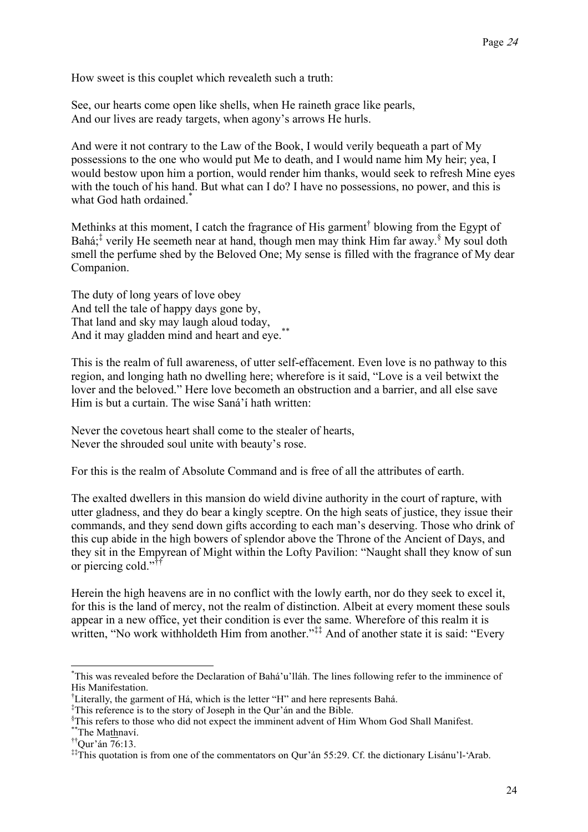How sweet is this couplet which revealeth such a truth:

See, our hearts come open like shells, when He raineth grace like pearls, And our lives are ready targets, when agony's arrows He hurls.

And were it not contrary to the Law of the Book, I would verily bequeath a part of My possessions to the one who would put Me to death, and I would name him My heir; yea, I would bestow upon him a portion, would render him thanks, would seek to refresh Mine eyes with the touch of his hand. But what can I do? I have no possessions, no power, and this is what God hath ordained.<sup>\*</sup>

Methinks at this moment, I catch the fragrance of His garment<sup>†</sup> blowing from the Egypt of Bahá; verily He seemeth near at hand, though men may think Him far away.  $\frac{1}{2}$  My soul doth smell the perfume shed by the Beloved One; My sense is filled with the fragrance of My dear Companion.

The duty of long years of love obey And tell the tale of happy days gone by, That land and sky may laugh aloud today, And it may gladden mind and heart and eye.\*\*

This is the realm of full awareness, of utter self-effacement. Even love is no pathway to this region, and longing hath no dwelling here; wherefore is it said, "Love is a veil betwixt the lover and the beloved." Here love becometh an obstruction and a barrier, and all else save Him is but a curtain. The wise Saná'í hath written:

Never the covetous heart shall come to the stealer of hearts, Never the shrouded soul unite with beauty's rose.

For this is the realm of Absolute Command and is free of all the attributes of earth.

The exalted dwellers in this mansion do wield divine authority in the court of rapture, with utter gladness, and they do bear a kingly sceptre. On the high seats of justice, they issue their commands, and they send down gifts according to each man's deserving. Those who drink of this cup abide in the high bowers of splendor above the Throne of the Ancient of Days, and they sit in the Empyrean of Might within the Lofty Pavilion: "Naught shall they know of sun or piercing cold."††

Herein the high heavens are in no conflict with the lowly earth, nor do they seek to excel it, for this is the land of mercy, not the realm of distinction. Albeit at every moment these souls appear in a new office, yet their condition is ever the same. Wherefore of this realm it is written, "No work withholdeth Him from another."<sup> $\ddagger\ddagger$ </sup> And of another state it is said: "Every"

 <sup>\*</sup> This was revealed before the Declaration of Bahá'u'lláh. The lines following refer to the imminence of His Manifestation.

<sup>†</sup> Literally, the garment of Há, which is the letter "H" and here represents Bahá.

<sup>‡</sup> This reference is to the story of Joseph in the Qur'án and the Bible.

<sup>&</sup>lt;sup>§</sup>This refers to those who did not expect the imminent advent of Him Whom God Shall Manifest. \*\*The Mathnaví.

<sup>††</sup>Qur'án 76:13.

<sup>‡‡</sup>This quotation is from one of the commentators on Qur'án 55:29. Cf. the dictionary Lisánu'l-'Arab.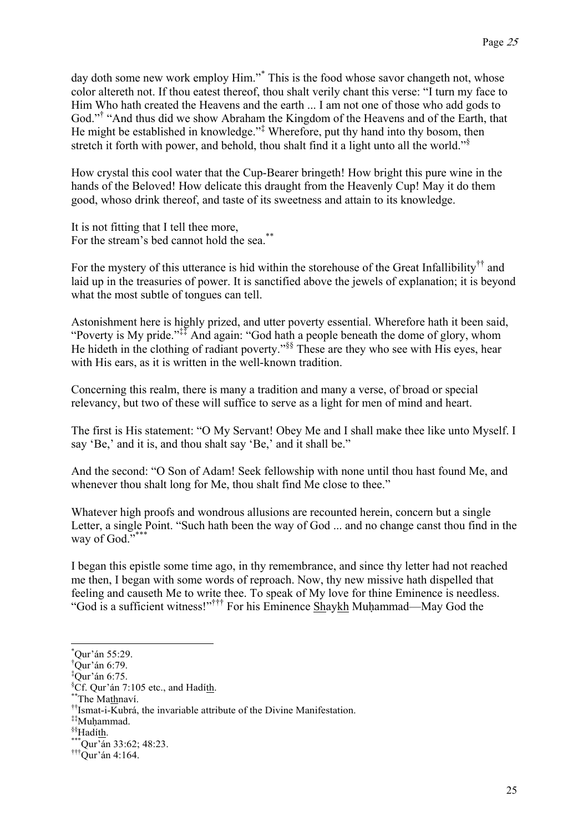day doth some new work employ Him."<sup>\*</sup> This is the food whose savor changeth not, whose color altereth not. If thou eatest thereof, thou shalt verily chant this verse: "I turn my face to Him Who hath created the Heavens and the earth ... I am not one of those who add gods to God."<sup>†</sup> "And thus did we show Abraham the Kingdom of the Heavens and of the Earth, that He might be established in knowledge."<sup>‡</sup> Wherefore, put thy hand into thy bosom, then stretch it forth with power, and behold, thou shalt find it a light unto all the world."<sup>§</sup>

How crystal this cool water that the Cup-Bearer bringeth! How bright this pure wine in the hands of the Beloved! How delicate this draught from the Heavenly Cup! May it do them good, whoso drink thereof, and taste of its sweetness and attain to its knowledge.

It is not fitting that I tell thee more, For the stream's bed cannot hold the sea.<sup>\*</sup>

For the mystery of this utterance is hid within the storehouse of the Great Infallibility<sup>††</sup> and laid up in the treasuries of power. It is sanctified above the jewels of explanation; it is beyond what the most subtle of tongues can tell.

Astonishment here is highly prized, and utter poverty essential. Wherefore hath it been said, "Poverty is My pride."‡‡ And again: "God hath a people beneath the dome of glory, whom He hideth in the clothing of radiant poverty."§§ These are they who see with His eyes, hear with His ears, as it is written in the well-known tradition.

Concerning this realm, there is many a tradition and many a verse, of broad or special relevancy, but two of these will suffice to serve as a light for men of mind and heart.

The first is His statement: "O My Servant! Obey Me and I shall make thee like unto Myself. I say 'Be,' and it is, and thou shalt say 'Be,' and it shall be."

And the second: "O Son of Adam! Seek fellowship with none until thou hast found Me, and whenever thou shalt long for Me, thou shalt find Me close to thee."

Whatever high proofs and wondrous allusions are recounted herein, concern but a single Letter, a single Point. "Such hath been the way of God ... and no change canst thou find in the way of God."\*\*\*

I began this epistle some time ago, in thy remembrance, and since thy letter had not reached me then, I began with some words of reproach. Now, thy new missive hath dispelled that feeling and causeth Me to write thee. To speak of My love for thine Eminence is needless. "God is a sufficient witness!"††† For his Eminence Shaykh Muḥammad—May God the

 <sup>\*</sup>  $"Our'an 55:29.$ 

<sup>†</sup> Qur'án 6:79.

<sup>‡</sup> Qur'án 6:75.

<sup>&</sup>lt;sup>§</sup>Cf. Qur'án 7:105 etc., and Hadí<u>th</u>.<br>\*\*The Ma<u>th</u>naví.

<sup>&</sup>lt;sup>\*\*</sup>The Mathraví.<br><sup>††</sup>Ismat-i-Kubrá, the invariable attribute of the Divine Manifestation.

<sup>&</sup>lt;sup>‡‡</sup>Muḥammad.<br><sup>§§</sup>Hadíth

<sup>\*\*\*\*</sup>Qur'án 33:62; 48:23.

 $*$ <sup>†††</sup>Qur'án 4:164.